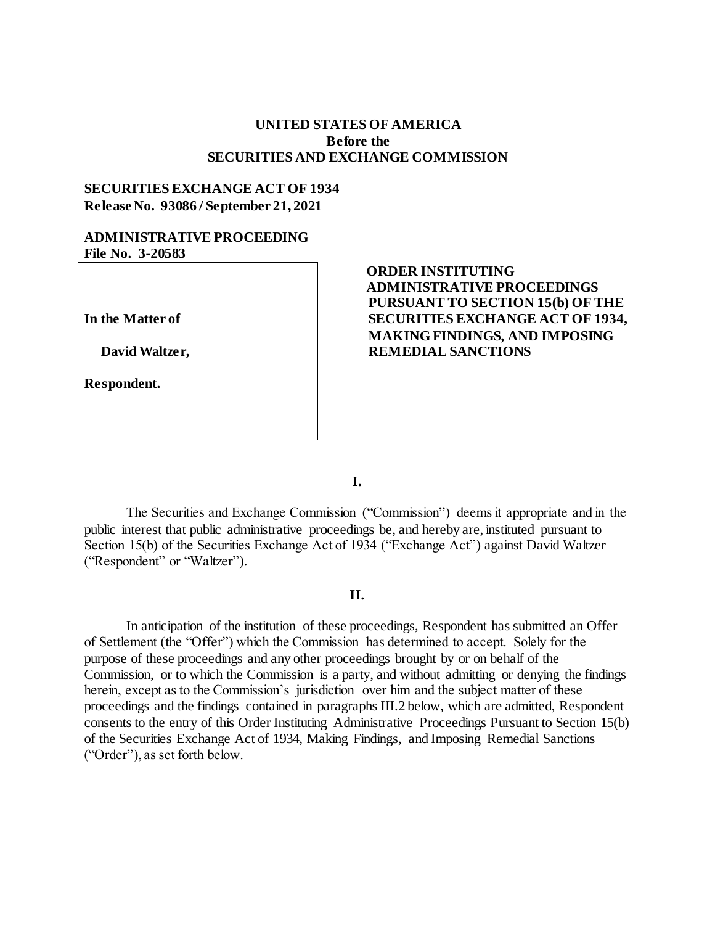## **UNITED STATES OF AMERICA Before the SECURITIES AND EXCHANGE COMMISSION**

## **SECURITIES EXCHANGE ACT OF 1934 Release No. 93086 / September 21, 2021**

#### **ADMINISTRATIVE PROCEEDING File No. 3-20583**

**In the Matter of**

 **David Waltzer,** 

**Respondent.**

# **ORDER INSTITUTING ADMINISTRATIVE PROCEEDINGS PURSUANT TO SECTION 15(b) OF THE SECURITIES EXCHANGE ACT OF 1934, MAKING FINDINGS, AND IMPOSING REMEDIAL SANCTIONS**

**I.**

The Securities and Exchange Commission ("Commission") deems it appropriate and in the public interest that public administrative proceedings be, and hereby are, instituted pursuant to Section 15(b) of the Securities Exchange Act of 1934 ("Exchange Act") against David Waltzer ("Respondent" or "Waltzer").

#### **II.**

In anticipation of the institution of these proceedings, Respondent has submitted an Offer of Settlement (the "Offer") which the Commission has determined to accept. Solely for the purpose of these proceedings and any other proceedings brought by or on behalf of the Commission, or to which the Commission is a party, and without admitting or denying the findings herein, except as to the Commission's jurisdiction over him and the subject matter of these proceedings and the findings contained in paragraphs III.2 below, which are admitted, Respondent consents to the entry of this Order Instituting Administrative Proceedings Pursuant to Section 15(b) of the Securities Exchange Act of 1934, Making Findings, and Imposing Remedial Sanctions ("Order"), as set forth below.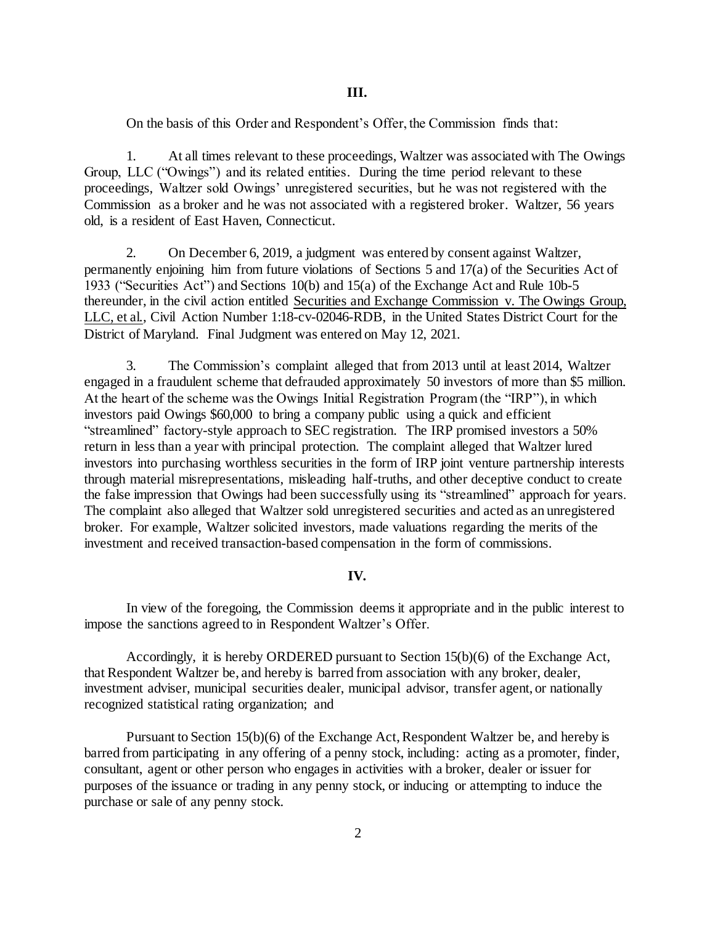On the basis of this Order and Respondent's Offer, the Commission finds that:

1. At all times relevant to these proceedings, Waltzer was associated with The Owings Group, LLC ("Owings") and its related entities. During the time period relevant to these proceedings, Waltzer sold Owings' unregistered securities, but he was not registered with the Commission as a broker and he was not associated with a registered broker. Waltzer, 56 years old, is a resident of East Haven, Connecticut.

2. On December 6, 2019, a judgment was entered by consent against Waltzer, permanently enjoining him from future violations of Sections 5 and 17(a) of the Securities Act of 1933 ("Securities Act") and Sections 10(b) and 15(a) of the Exchange Act and Rule 10b-5 thereunder, in the civil action entitled Securities and Exchange Commission v. The Owings Group, LLC, et al., Civil Action Number 1:18-cv-02046-RDB, in the United States District Court for the District of Maryland. Final Judgment was entered on May 12, 2021.

3. The Commission's complaint alleged that from 2013 until at least 2014, Waltzer engaged in a fraudulent scheme that defrauded approximately 50 investors of more than \$5 million. At the heart of the scheme was the Owings Initial Registration Program (the "IRP"), in which investors paid Owings \$60,000 to bring a company public using a quick and efficient "streamlined" factory-style approach to SEC registration. The IRP promised investors a 50% return in less than a year with principal protection. The complaint alleged that Waltzer lured investors into purchasing worthless securities in the form of IRP joint venture partnership interests through material misrepresentations, misleading half-truths, and other deceptive conduct to create the false impression that Owings had been successfully using its "streamlined" approach for years. The complaint also alleged that Waltzer sold unregistered securities and acted as an unregistered broker. For example, Waltzer solicited investors, made valuations regarding the merits of the investment and received transaction-based compensation in the form of commissions.

#### **IV.**

In view of the foregoing, the Commission deems it appropriate and in the public interest to impose the sanctions agreed to in Respondent Waltzer's Offer.

Accordingly, it is hereby ORDERED pursuant to Section 15(b)(6) of the Exchange Act, that Respondent Waltzer be, and hereby is barred from association with any broker, dealer, investment adviser, municipal securities dealer, municipal advisor, transfer agent, or nationally recognized statistical rating organization; and

Pursuant to Section 15(b)(6) of the Exchange Act, Respondent Waltzer be, and hereby is barred from participating in any offering of a penny stock, including: acting as a promoter, finder, consultant, agent or other person who engages in activities with a broker, dealer or issuer for purposes of the issuance or trading in any penny stock, or inducing or attempting to induce the purchase or sale of any penny stock.